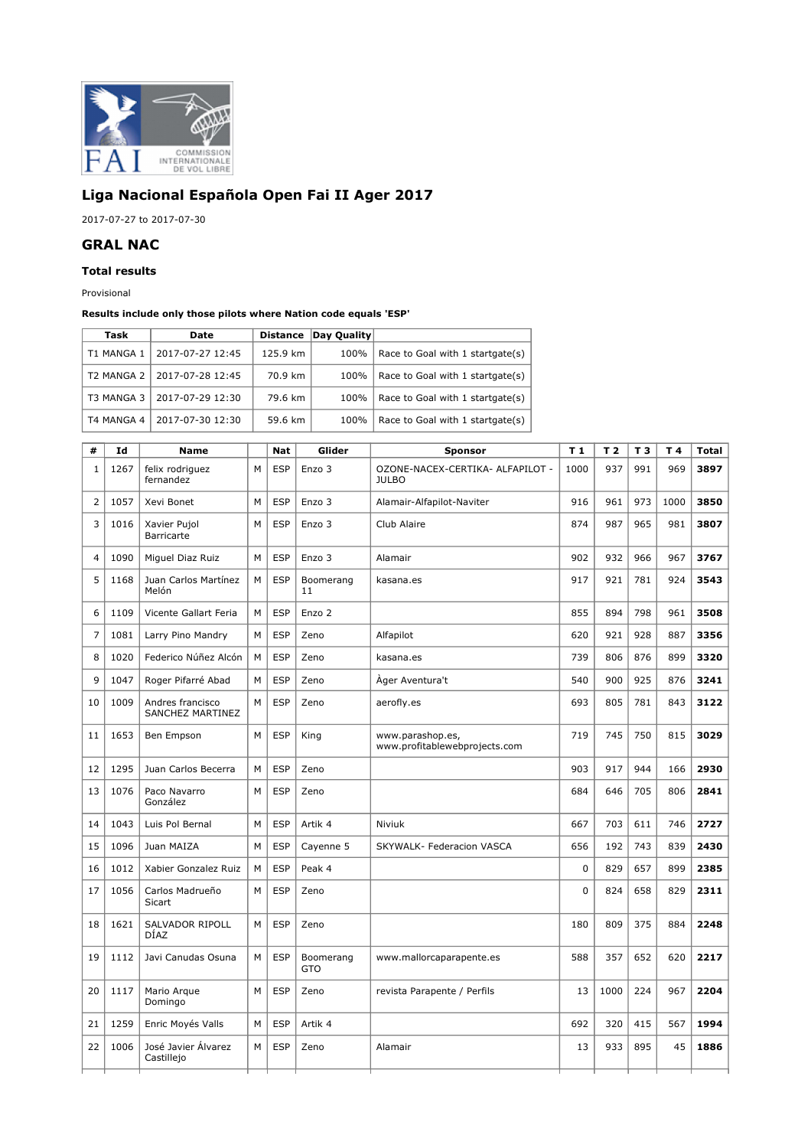

## **Liga Nacional Española Open Fai II Ager 2017**

2017-07-27 to 2017-07-30

## **GRAL NAC**

## **Total results**

Provisional

## **Results include only those pilots where Nation code equals 'ESP'**

| Task       | Date             | <b>Distance</b> | Day Quality |                                  |
|------------|------------------|-----------------|-------------|----------------------------------|
| T1 MANGA 1 | 2017-07-27 12:45 | 125.9 km        | 100%        | Race to Goal with 1 startgate(s) |
| T2 MANGA 2 | 2017-07-28 12:45 | 70.9 km         | 100%        | Race to Goal with 1 startgate(s) |
| T3 MANGA 3 | 2017-07-29 12:30 | 79.6 km         | 100%        | Race to Goal with 1 startgate(s) |
| T4 MANGA 4 | 2017-07-30 12:30 | 59.6 km         | 100%        | Race to Goal with 1 startgate(s) |

| #              | Id   | Name                                 |   | <b>Nat</b> | Glider                  | Sponsor                                           | T <sub>1</sub> | T <sub>2</sub> | T <sub>3</sub> | T4   | <b>Total</b> |
|----------------|------|--------------------------------------|---|------------|-------------------------|---------------------------------------------------|----------------|----------------|----------------|------|--------------|
| $\mathbf{1}$   | 1267 | felix rodriguez<br>fernandez         | M | <b>ESP</b> | Enzo 3                  | OZONE-NACEX-CERTIKA- ALFAPILOT -<br><b>JULBO</b>  | 1000           | 937            | 991            | 969  | 3897         |
| $\overline{2}$ | 1057 | Xevi Bonet                           | M | <b>ESP</b> | Enzo 3                  | Alamair-Alfapilot-Naviter                         | 916            | 961            | 973            | 1000 | 3850         |
| 3              | 1016 | Xavier Pujol<br><b>Barricarte</b>    | M | <b>ESP</b> | Enzo 3                  | Club Alaire                                       | 874            | 987            | 965            | 981  | 3807         |
| 4              | 1090 | Miguel Diaz Ruiz                     | M | <b>ESP</b> | Enzo 3                  | Alamair                                           | 902            | 932            | 966            | 967  | 3767         |
| 5              | 1168 | Juan Carlos Martínez<br>Melón        | М | <b>ESP</b> | Boomerang<br>11         | kasana.es                                         | 917            | 921            | 781            | 924  | 3543         |
| 6              | 1109 | Vicente Gallart Feria                | M | <b>ESP</b> | Enzo 2                  |                                                   | 855            | 894            | 798            | 961  | 3508         |
| 7              | 1081 | Larry Pino Mandry                    | М | <b>ESP</b> | Zeno                    | Alfapilot                                         | 620            | 921            | 928            | 887  | 3356         |
| 8              | 1020 | Federico Núñez Alcón                 | M | <b>ESP</b> | Zeno                    | kasana.es                                         | 739            | 806            | 876            | 899  | 3320         |
| 9              | 1047 | Roger Pifarré Abad                   | М | <b>ESP</b> | Zeno                    | Ager Aventura't                                   | 540            | 900            | 925            | 876  | 3241         |
| 10             | 1009 | Andres francisco<br>SANCHEZ MARTINEZ | М | <b>ESP</b> | Zeno                    | aerofly.es                                        | 693            | 805            | 781            | 843  | 3122         |
| 11             | 1653 | Ben Empson                           | M | <b>ESP</b> | King                    | www.parashop.es,<br>www.profitablewebprojects.com | 719            | 745            | 750            | 815  | 3029         |
| 12             | 1295 | Juan Carlos Becerra                  | M | <b>ESP</b> | Zeno                    |                                                   | 903            | 917            | 944            | 166  | 2930         |
| 13             | 1076 | Paco Navarro<br>González             | M | <b>ESP</b> | Zeno                    |                                                   | 684            | 646            | 705            | 806  | 2841         |
| 14             | 1043 | Luis Pol Bernal                      | M | <b>ESP</b> | Artik 4                 | Niviuk                                            | 667            | 703            | 611            | 746  | 2727         |
| 15             | 1096 | Juan MAIZA                           | М | <b>ESP</b> | Cayenne 5               | SKYWALK- Federacion VASCA                         | 656            | 192            | 743            | 839  | 2430         |
| 16             | 1012 | Xabier Gonzalez Ruiz                 | M | <b>ESP</b> | Peak 4                  |                                                   | $\mathbf 0$    | 829            | 657            | 899  | 2385         |
| 17             | 1056 | Carlos Madrueño<br>Sicart            | M | <b>ESP</b> | Zeno                    |                                                   | 0              | 824            | 658            | 829  | 2311         |
| 18             | 1621 | SALVADOR RIPOLL<br>DÍAZ              | M | <b>ESP</b> | Zeno                    |                                                   | 180            | 809            | 375            | 884  | 2248         |
| 19             | 1112 | Javi Canudas Osuna                   | М | <b>ESP</b> | Boomerang<br><b>GTO</b> | www.mallorcaparapente.es                          | 588            | 357            | 652            | 620  | 2217         |
| 20             | 1117 | Mario Arque<br>Domingo               | M | <b>ESP</b> | Zeno                    | revista Parapente / Perfils                       | 13             | 1000           | 224            | 967  | 2204         |
| 21             | 1259 | Enric Moyés Valls                    | M | <b>ESP</b> | Artik 4                 |                                                   | 692            | 320            | 415            | 567  | 1994         |
| 22             | 1006 | José Javier Álvarez<br>Castillejo    | M | <b>ESP</b> | Zeno                    | Alamair                                           | 13             | 933            | 895            | 45   | 1886         |
|                |      |                                      |   |            |                         |                                                   |                |                |                |      |              |